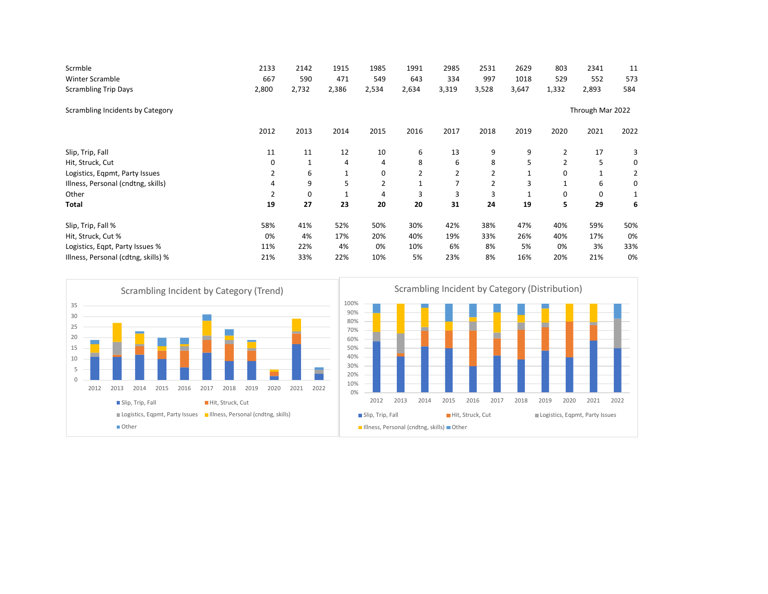| Scrmble                             | 2133             | 2142  | 1915         | 1985           | 1991  | 2985           | 2531           | 2629  | 803            | 2341  | 11   |  |  |
|-------------------------------------|------------------|-------|--------------|----------------|-------|----------------|----------------|-------|----------------|-------|------|--|--|
| Winter Scramble                     | 667              | 590   | 471          | 549            | 643   | 334            | 997            | 1018  | 529            | 552   | 573  |  |  |
| <b>Scrambling Trip Days</b>         | 2,800            | 2,732 | 2,386        | 2,534          | 2,634 | 3,319          | 3,528          | 3,647 | 1,332          | 2,893 | 584  |  |  |
| Scrambling Incidents by Category    | Through Mar 2022 |       |              |                |       |                |                |       |                |       |      |  |  |
|                                     | 2012             | 2013  | 2014         | 2015           | 2016  | 2017           | 2018           | 2019  | 2020           | 2021  | 2022 |  |  |
| Slip, Trip, Fall                    | 11               | 11    | 12           | 10             | 6     | 13             | 9              | 9     | $\overline{2}$ | 17    | 3    |  |  |
| Hit, Struck, Cut                    | 0                | 1     | 4            | 4              | 8     | 6              | 8              | 5     | $\overline{2}$ | 5     | 0    |  |  |
| Logistics, Eqpmt, Party Issues      | 2                | 6     | $\mathbf{1}$ | 0              | 2     | 2              | 2              |       | 0              |       | 2    |  |  |
| Illness, Personal (cndtng, skills)  | 4                | 9     | 5            | $\overline{2}$ |       | $\overline{7}$ | $\overline{2}$ | 3     | $\mathbf{1}$   | 6     | 0    |  |  |
| Other                               | 2                | 0     | 1            | 4              | 3     | 3              | 3              |       | 0              | 0     |      |  |  |
| Total                               | 19               | 27    | 23           | 20             | 20    | 31             | 24             | 19    | 5.             | 29    | 6    |  |  |
| Slip, Trip, Fall %                  | 58%              | 41%   | 52%          | 50%            | 30%   | 42%            | 38%            | 47%   | 40%            | 59%   | 50%  |  |  |
| Hit, Struck, Cut %                  | 0%               | 4%    | 17%          | 20%            | 40%   | 19%            | 33%            | 26%   | 40%            | 17%   | 0%   |  |  |
| Logistics, Eqpt, Party Issues %     | 11%              | 22%   | 4%           | 0%             | 10%   | 6%             | 8%             | 5%    | 0%             | 3%    | 33%  |  |  |
| Illness, Personal (cdtng, skills) % | 21%              | 33%   | 22%          | 10%            | 5%    | 23%            | 8%             | 16%   | 20%            | 21%   | 0%   |  |  |

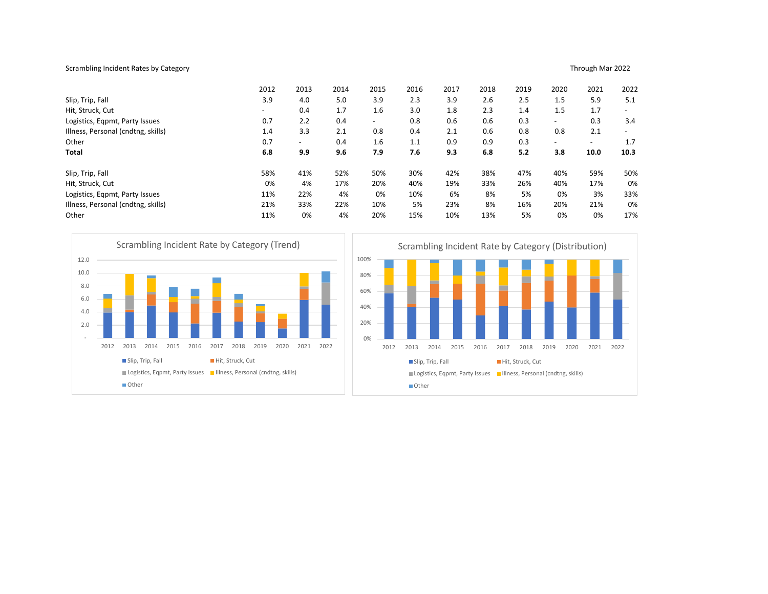## Scrambling Incident Rates by Category **Exercise 2022** and the series of the series of the series of the series of the series of the series of the series of the series of the series of the series of the series of the series

|                                    |      |               |                                                                                                  |      |      |      |                          | 2012 |      | 2013                     |      | 2014       | 2015                           |      | 2016  |                          | 2017 | 2018                                                                        |      | 2019                     | 2020 |      | 2021                     | 2022                     |
|------------------------------------|------|---------------|--------------------------------------------------------------------------------------------------|------|------|------|--------------------------|------|------|--------------------------|------|------------|--------------------------------|------|-------|--------------------------|------|-----------------------------------------------------------------------------|------|--------------------------|------|------|--------------------------|--------------------------|
| Slip, Trip, Fall                   |      |               |                                                                                                  |      |      |      |                          | 3.9  |      | 4.0                      |      | 5.0        | 3.9                            |      | 2.3   |                          | 3.9  | 2.6                                                                         |      | 2.5                      | 1.5  |      | 5.9                      | 5.1                      |
| Hit, Struck, Cut                   |      |               |                                                                                                  |      |      |      |                          |      |      | 0.4                      |      | 1.7        | 1.6                            |      | 3.0   |                          | 1.8  | 2.3                                                                         |      | 1.4                      | 1.5  |      | 1.7                      |                          |
| Logistics, Eqpmt, Party Issues     |      |               |                                                                                                  |      |      |      | 0.7                      |      | 2.2  | 0.4                      |      |            |                                | 0.8  |       | 0.6                      | 0.6  |                                                                             | 0.3  |                          |      | 0.3  | 3.4                      |                          |
| Illness, Personal (cndtng, skills) |      |               |                                                                                                  |      |      |      |                          | 1.4  |      | 3.3                      |      | 2.1        | 0.8                            |      | 0.4   |                          | 2.1  | 0.6                                                                         |      | 0.8                      | 0.8  |      | 2.1                      | $\overline{\phantom{a}}$ |
| Other                              |      |               |                                                                                                  |      |      |      |                          | 0.7  |      | $\overline{\phantom{0}}$ |      | 0.4        | 1.6                            |      | 1.1   |                          | 0.9  | 0.9                                                                         |      | 0.3                      |      |      | $\overline{\phantom{a}}$ | 1.7                      |
| <b>Total</b>                       |      |               |                                                                                                  |      |      |      |                          | 6.8  |      | 9.9                      |      | 9.6        | 7.9                            |      | 7.6   |                          | 9.3  | 6.8                                                                         |      | 5.2                      | 3.8  |      | 10.0                     | 10.3                     |
| Slip, Trip, Fall                   |      |               |                                                                                                  |      |      |      |                          | 58%  |      | 41%                      |      | 52%        |                                | 50%  | 30%   |                          | 42%  | 38%                                                                         |      | 47%                      |      | 40%  | 59%                      | 50%                      |
| Hit, Struck, Cut<br>0%             |      |               |                                                                                                  |      |      |      | 4%<br>17%                |      |      | 20%                      |      | 40%<br>19% |                                | 33%  |       | 26%                      | 40%  |                                                                             | 17%  | 0%                       |      |      |                          |                          |
| Logistics, Eqpmt, Party Issues     |      |               |                                                                                                  |      |      |      |                          | 11%  |      | 22%                      |      | 4%         |                                | 0%   | 10%   |                          | 6%   | 8%                                                                          |      | 5%                       |      | 0%   | 3%                       | 33%                      |
| Illness, Personal (cndtng, skills) |      |               |                                                                                                  |      |      |      |                          | 21%  |      | 33%                      |      | 22%        |                                | 10%  | 5%    |                          | 23%  | 8%                                                                          |      | 16%                      |      | 20%  | 21%                      | 0%                       |
| Other                              |      |               |                                                                                                  |      |      |      |                          | 11%  |      | 0%                       |      | 4%         |                                | 20%  | 15%   |                          | 10%  | 13%                                                                         |      | 5%                       |      | 0%   | 0%                       | 17%                      |
| 10.0<br>8.0<br>6.0<br>4.0<br>2.0   | 2012 | 2013<br>Other | 2014<br>Slip, Trip, Fall<br>Logistics, Eqpmt, Party Issues    Illness, Personal (cndtng, skills) | 2015 | 2016 | 2017 | 2018<br>Hit, Struck, Cut | 2019 | 2020 | 2021                     | 2022 |            | 80%<br>60%<br>40%<br>20%<br>0% | 2012 | 2013  | 2014<br>Slip, Trip, Fall | 2015 | 2016<br>Logistics, Eqpmt, Party Issues   Illness, Personal (cndtng, skills) | 2017 | 2018<br>Hit, Struck, Cut | 2019 | 2020 | 2021                     | 2022                     |
|                                    |      |               |                                                                                                  |      |      |      |                          |      |      |                          |      |            |                                |      | Other |                          |      |                                                                             |      |                          |      |      |                          |                          |
|                                    |      |               |                                                                                                  |      |      |      |                          |      |      |                          |      |            |                                |      |       |                          |      |                                                                             |      |                          |      |      |                          |                          |
|                                    |      |               |                                                                                                  |      |      |      |                          |      |      |                          |      |            |                                |      |       |                          |      |                                                                             |      |                          |      |      |                          |                          |



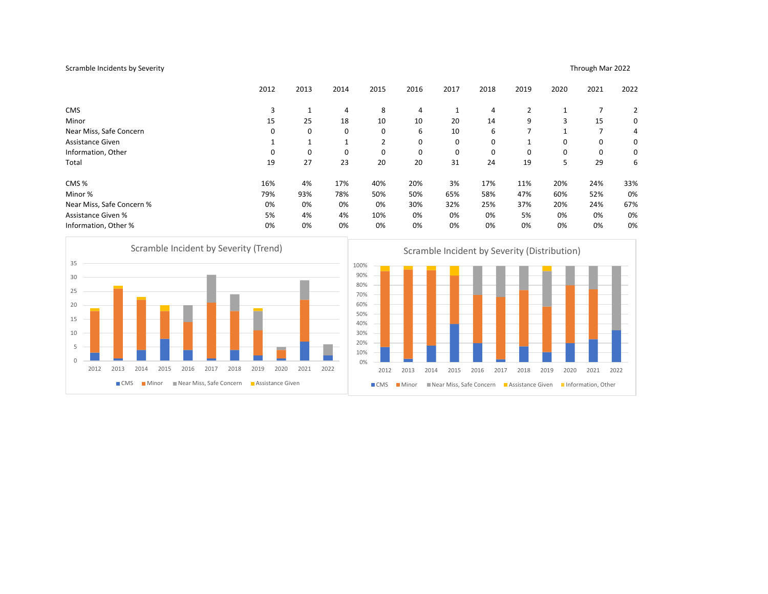## Scramble Incidents by Severity Through Mar 2022